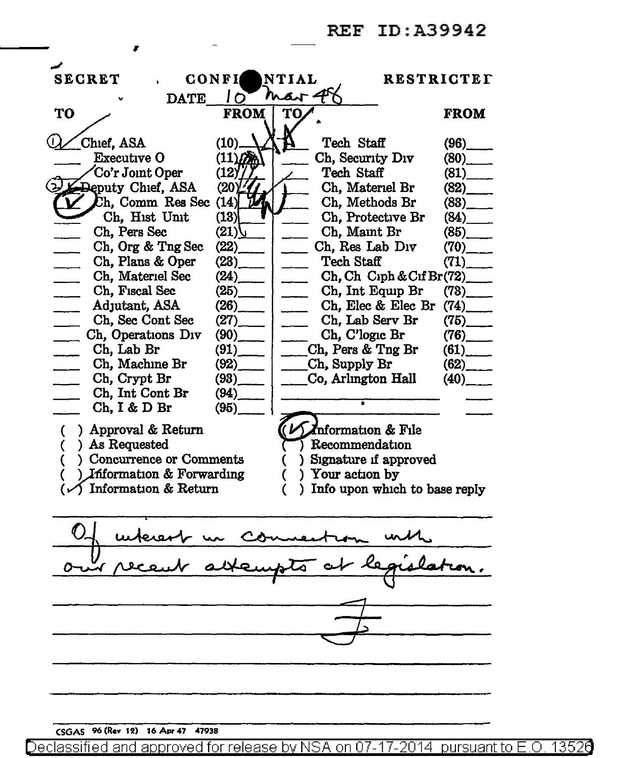#### REF ID:A39942

| <b>SECRET</b>                                                               | CONFI                 | NTIAL<br><b>RESTRICTET</b>                     |                          |
|-----------------------------------------------------------------------------|-----------------------|------------------------------------------------|--------------------------|
| mar 48<br>Io<br><b>DATE</b>                                                 |                       |                                                |                          |
| <b>TO</b>                                                                   | <b>FROM</b>           | то                                             | <b>FROM</b>              |
|                                                                             |                       |                                                |                          |
| Chief, ASA                                                                  | (10)                  | Tech Staff                                     | (96)                     |
| <b>Executive O</b>                                                          | $(11)$ $6$            | Ch, Security Div                               | $(80)$ <sub>_____</sub>  |
| Co'r Joint Oper                                                             | (12)                  | Tech Staff                                     | $(81)$ <sub>____</sub>   |
| Deputy Chief, ASA                                                           | (20)                  | Ch, Materiel Br                                | $(82)$ <sub>____</sub>   |
| Ch, Comm Res Sec                                                            | (14)                  | Ch, Methods Br                                 | $(83)$ <sub>_____</sub>  |
| Ch, Hist Unit                                                               | (13)                  | Ch, Protective Br                              | (84)                     |
| Ch, Pers Sec                                                                | (21)                  | Ch, Maint Br                                   | $(85)$ <sub>____</sub>   |
| Ch, Org & Tng Sec                                                           | (22)                  | Ch, Res Lab Div                                | $(70)$ <sub>____</sub>   |
| Ch, Plans & Oper                                                            | (23)                  | Tech Staff                                     | (71)                     |
| Ch, Materiel Sec                                                            | (24)                  | Ch, Ch Ciph & Cif Br(72)                       |                          |
| Ch, Fiscal Sec                                                              | (25)                  | Ch, Int Equip Br                               | $(73)$ <sub>______</sub> |
| Adjutant, ASA                                                               | (26)                  | Ch, Elec & Elec Br<br>$\overline{\phantom{a}}$ | $(74)$ <sub>____</sub>   |
| Ch, Sec Cont Sec                                                            | (27)                  | Ch, Lab Serv Br<br>$\overline{\phantom{a}}$    | $(75)$ <sub>____</sub>   |
| Ch, Operations Div                                                          | (90)                  | Ch, C'logic Br                                 | $(76)$ <sub>_____</sub>  |
| Ch, Lab Br                                                                  | (91)                  | Ch, Pers & Tng Br                              | (61)                     |
| Ch, Machine Br                                                              | $(92)$ <sub>---</sub> | _Ch, Supply Br                                 | $(62)$ <sub>____</sub>   |
| Ch, Crypt Br                                                                | (93)                  | Co, Arlington Hall                             | $(40)$ <sub>___</sub>    |
| Ch, Int Cont Br                                                             | (94)                  |                                                |                          |
| Ch, I & D Br                                                                | (95)                  |                                                |                          |
| ) Approval & Return                                                         |                       | Dinformation & File                            |                          |
| €<br>) As Requested                                                         |                       | Recommendation                                 |                          |
| €<br>) Concurrence or Comments                                              |                       |                                                |                          |
|                                                                             |                       | ) Signature if approved<br>) Your action by    |                          |
| ) Information & Forwarding<br>C<br>C<br>$(\checkmark)$ Information & Return |                       |                                                |                          |
| ) Info upon which to base reply                                             |                       |                                                |                          |
|                                                                             |                       |                                                |                          |
|                                                                             |                       |                                                |                          |
| nest un commention                                                          |                       |                                                |                          |
|                                                                             |                       |                                                |                          |
|                                                                             |                       |                                                |                          |
|                                                                             |                       |                                                |                          |
|                                                                             |                       |                                                |                          |
|                                                                             |                       |                                                |                          |
|                                                                             |                       |                                                |                          |
|                                                                             |                       |                                                |                          |
|                                                                             |                       |                                                |                          |
|                                                                             |                       |                                                |                          |
|                                                                             |                       |                                                |                          |
|                                                                             |                       |                                                |                          |

CSGAS 96 (Rev 12) 16 Apr 47 47938

,

Declassified and approved for release by NSA on 07-17-2014 pursuant to E.O. 13526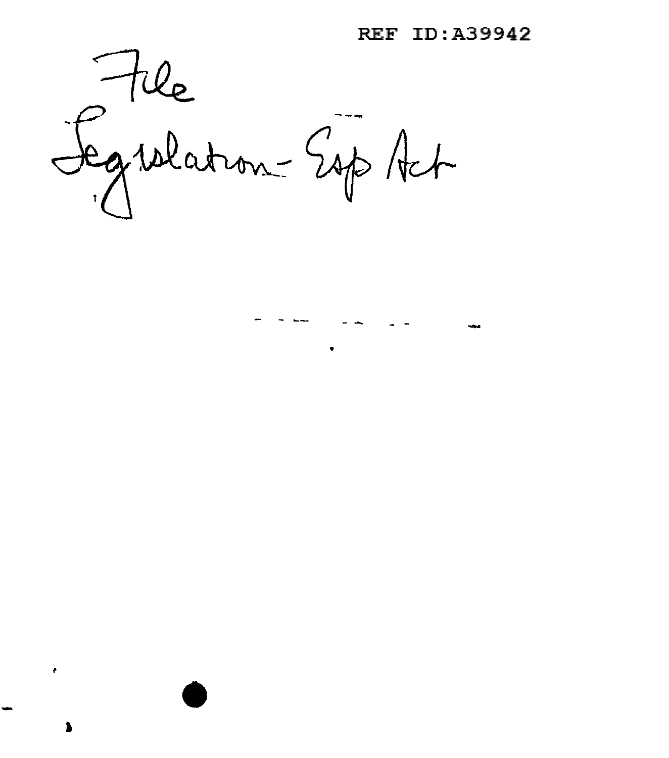REF ID:A39942

- - -- - - - -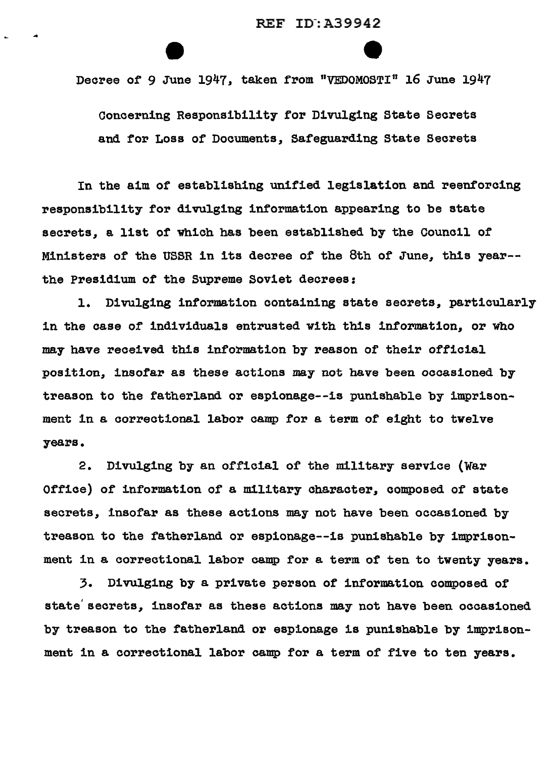Decree of 9 June 1947, taken from "VEDOMOSTI" 16 June 1947

Concerning Responsibility for Divulging State Secrets and for Loss of Documents, Safeguarding State Secrets

In the aim of establishing unified legislation and reenforcing responsibility for divulging information appearing to be state secrets, a list of which has been established by the Council of Ministers of the USSR in its decree of the 8th of June, this year-the Presidium of the Supreme Soviet decrees:

1. Divulging information containing state secrets, particularly in the case of individuals entrusted with this information, or who may have received this information by reason of their official position, insofar as these actions may not have been occasioned by treason to the fatherland or espionage--is punishable by imprisonment in a correctional labor camp for a term of eight to twelve years.

2. Divulging by an official of the military service (War Office) of information of a military character, composed of state secrets, insofar as these actions may not have been occasioned by treason to the fatherland or espionage--is punishable by imprisonment in a correctional labor camp for a term of ten to twenty years.

3. Divulging by a private person of information composed of state' secrets, insofar as these actions may not have been occasioned by treason to the fatherland or espionage is punishable by imprisonment in a correctional labor camp for a term of five to ten years.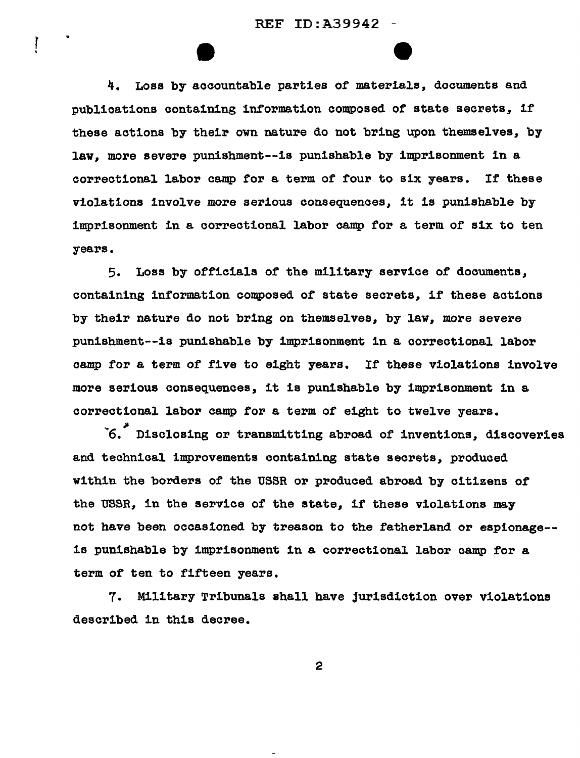REF ID:A39942 -

 $\mathbf{I}$ 

4. Loss by accountable parties of materials, documents and publications containing information composed of state secrets, if these actions by their own nature do not bring upon themselves, by law, more severe punishment--is punishable by imprisonment in a correctional labor camp for a term of four to six years. If these violations involve more serious consequences, it is punishable by imprisonment in a correctional labor camp for a term of six to ten years.

5. Loss by officials or the military service of documents, containing information composed of state secrets, if these actions by their nature do not bring on themselves, by law, more severe punishment--is punishable by imprisonment in a correctional labor camp for a term of five to eight years. If these violations involve more serious consequences, it is punishable by imprisonment in a correctional labor camp for a term of eight to twelve years.

<sup>~</sup>*<sup>&</sup>gt;*6. Disclosing or transmitting abroad of inventions, discoveries and technical improvements containing state secrets, produced within the borders of the USSR or produced abroad by citizens or the USSR, in the service of the state, if these violations may not have been occasioned by treason to the fatherland or espionage- is punishable by imprisonment in a correctional labor camp for a term of ten to fifteen years.

7. Military Tribunals ahall have jurisdiction over violations described in this decree.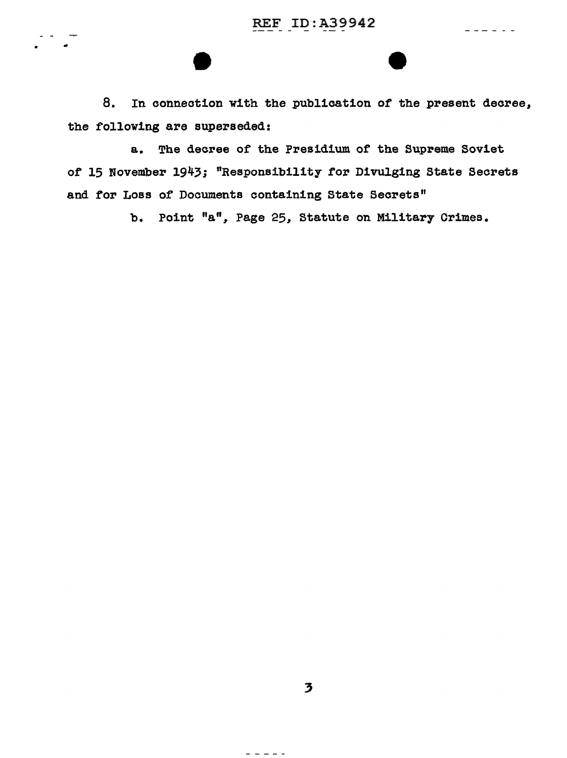$\frac{1}{2}$  =  $\frac{1}{2}$  =  $\frac{1}{2}$  =  $\frac{1}{2}$ 

8. In connection with the publication of the present decree, the following are superseded:

a. The decree of the Presidium of the Supreme Soviet of 15 November 1943; "Responsibility for Divulging State Secrets and for Loss of Documents containing State Secrets"

b. Point "a", Page 25, Statute on Military Crimes.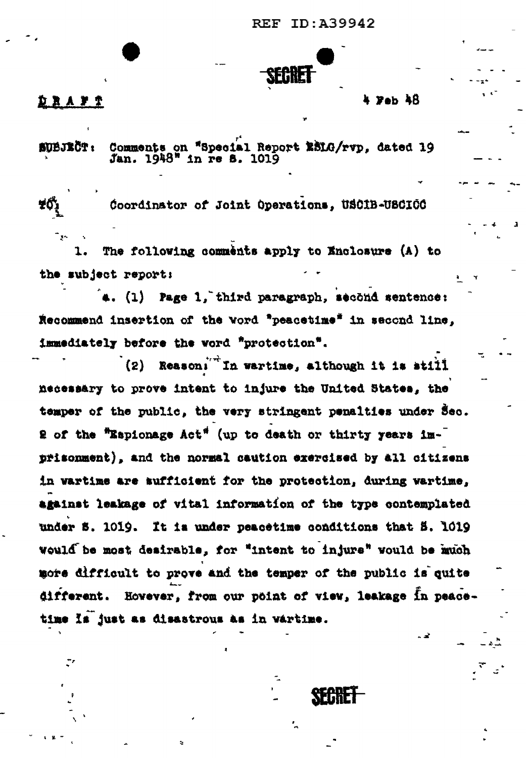**REF ID: A39942** 



### **DRAYS**

#### 4 Fab AR

Comments on "Special Report ESLG/rvp. dated 19 **TOETEDE** Jan. 1948" in re 8. 1019

Coordinator of Joint Operations. USCIB-USCICC The following comments apply to Enclosure (A) to

the subject report:

.. (1) Page 1, third paragraph, second sentence: Recommend insertion of the word "peacetime" in second line. immediately before the word "protection".

(2) Reasoni<sup>"</sup> In wartime, although it is still necessary to prove intent to injure the United States, the temper of the public, the very stringent penalties under Sec. 2 of the "Espionage Act" (up to death or thirty years imprisonment), and the normal caution exercised by all citizens in wartime are aufficient for the protection, during wartime, against leakage of vital information of the type contemplated under S. 1019. It is under peacetime conditions that 5. 1019 would be most desirable, for "intent to injure" would be much more difficult to prove and the temper of the public is quite different. However, from our point of view, leakage in peacetime Is just as disastrous as in vartime.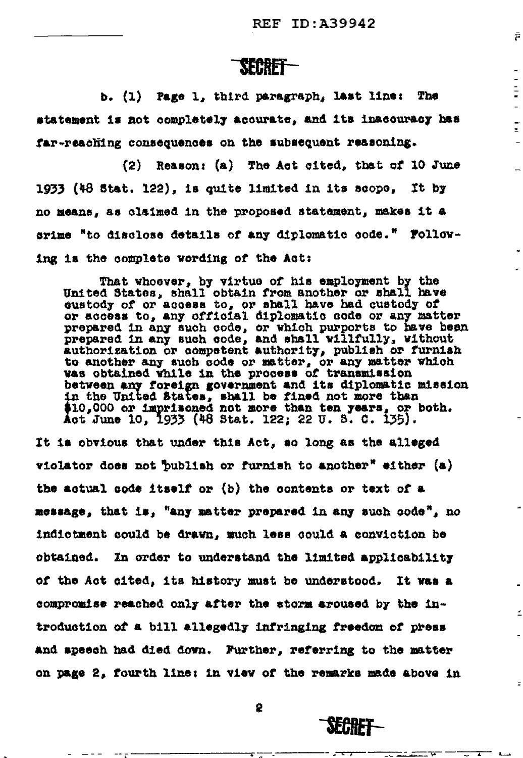Ē

 $\frac{1}{2}$ 

 $\equiv$ 

 $\equiv$ 

**SEBRET-**

b. (1) Page 1, third paragraph, last line: The statement is not completely acourate, and its inacouracy has far-reaching consequences on the subsequent reasoning.

(2) Reason: (a) The Act cited, that of 10 June 1933 (48 Stat. 122), is quite limited in its scope, It by no means, as claimed in the proposed statement, makes it a srime "to disclose details of any diplomatic code." Following is the complete wording of the Act:

That whoever, by virtue of his employment by the United States, shall obtain from another or shall have qustody of or access to, or shall have had custody of or access to, any official diplomatic code or any matter prepared in any such code, or which purports to have been prepared in any such code, and shall willfully, without authorization or competent authority, publish or furnish to another any such sode or matter, or any matter which was obtained while in the process of transmission between any foreign government and its diplomatic mission in the United States, shall be fined not more than \$10,000 or imprisoned not more than ten years, or both. Act June 10, 1933 (48 Stat. 122; 22 U. S. C. 135).

It is obvious that under this Act, so long as the alleged violator does not publish or furnish to another<sup>x</sup> either  $(a)$ the actual code itself or (b) the contents or text of a message, that is, "any matter prepared in any such code", no indictment could be drawn, much less could a conviction be obtained. In order to understand the limited applicability of the Act cited, its history must be understood. It was a compromise reached only after the storm aroused by the introduction of a bill allegedly infringing freedom of press and speech had died down. Further, referring to the matter on page 2, fourth line: in view of the remarks made above in

2

**SECRET**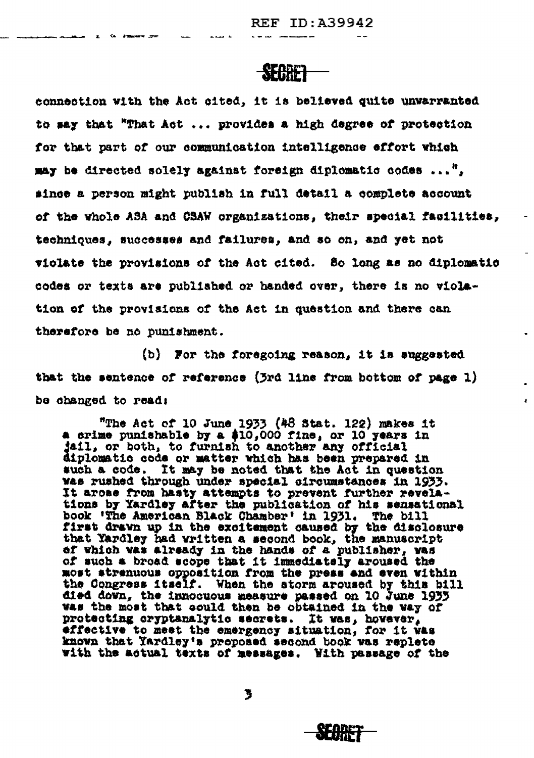# **SEGRET**

**E** Co. 200mmere pres

connection with the Act cited, it is believed quite unwarranted to say that "That Act ... provides a high degree of protection for that part of our communication intelligence effort which may be directed solely against foreign diplomatic codes  $...$ ". since a person might publish in full detail a complete account of the whole ASA and CSAW organizations, their special facilities, techniques, successes and failures, and so on, and yet not viclate the provisions of the Act cited. So long as no diplomatic codes or texts are published or handed over, there is no violation of the provisions of the Act in question and there can therefore be no punishment.

(b) For the foregoing reason, it is suggested that the sentence of reference (3rd line from bottom of page 1) be changed to read:

"The Act of 10 June 1933 (48 Stat. 122) makes it a crime punishable by a \$10,000 fine, or 10 years in iail, or both, to furnish to another any official diplomatic code or matter which has been prepared in such a code. It may be noted that the Act in question was rushed through under special circumstances in 1933. It arose from hasty attempts to prevent further revelations by Yardley after the publication of his sensational book 'The American Black Chamber' in 1931. The bill first drawn up in the excitement caused by the disclosure that Yardley had written a second book, the manuscript of which was already in the hands of a publisher, was of such a broad scope that it immediately aroused the most strenuous opposition from the press and even within the Congress itself. When the storm aroused by this bill died down, the innocuous measure passed on 10 June 1933 was the most that could then be obtained in the way of protecting cryptanalytic secrets. It was, however, effective to meet the emergency situation, for it was known that Yardley's proposed second book was replete with the actual texts of messages. With passage of the

3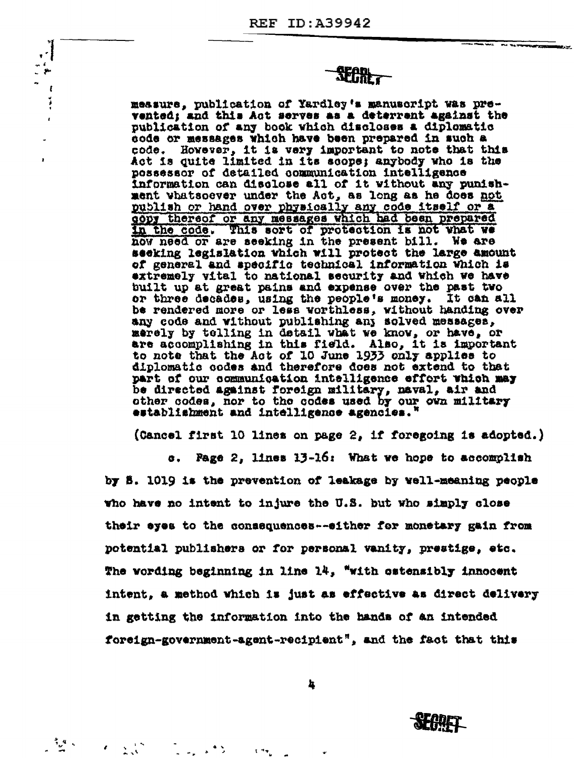ا ∙ ، n f

> ł í

> > $\mathbb{Z}^{\mathcal{A}}$  .

**SECRET** 

measure, publication of Yardley's manuscript was prevented: and this Act serves as a deterrent against the publication of any book which discloses a diplomatic code or messages which have been prepared in such a code. However, it is very important to note that this Act is quite limited in its scope; anybody who is the possessor of detailed communication intelligence information can disclose all of it without any punishment whatsoever under the Act, as long as he does not publish or hand over physically any code itself or a gopy thereof or any messages which had been prepared in the code. This sort of protection is not what we now need or are seeking in the present bill. We are seeking legislation which will protect the large amount of general and specific technical information Which is extremely vital to national security and which we have built up at great pains and expense over the past two or three decades, using the people's money. It can all be rendered more or less worthless, without handing over any code and without publishing any solved messages, merely by telling in detail what we know, or have, or are accomplishing in this field. Also, it is important to note that the Act of 10 June 1933 only applies to diplomatic codes and therefore does not extend to that part of our communication intelligence effort which may be directed against foreign military, naval, air and other codes, nor to the codes used by our own military establishment and intelligence agencies.'

(Cancel first 10 lines on page 2, if foregoing is adopted.)

Page 2, lines 13-16: What we hope to accomplish **G.** by 8. 1019 is the prevention of leakage by well-meaning people who have no intent to injure the U.S. but who simply close their eyes to the consequences--either for monetary gain from potential publishers or for personal vanity, prestige, etc. The wording beginning in line 14, "with estensibly innocent intent, a method which is just as effective as direct delivery in getting the information into the hands of an intended foreign-government-agent-recipient", and the fact that this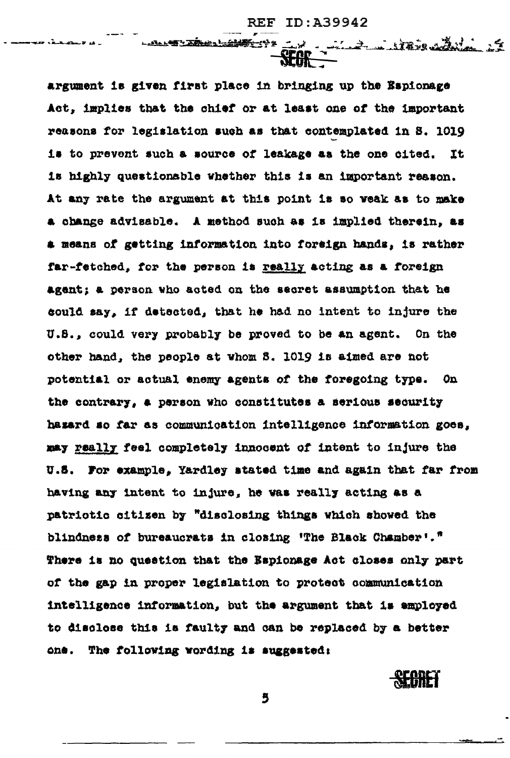2. Andrew State

LALLEY TRUE LIMIT -12

argument is given first place in bringing up the Espionage Act, implies that the chief or at least one of the important reasons for legislation such as that contemplated in S. 1019 is to prevent such a source of leakage as the one cited. It is highly questionsble whether this is an important reason. At any rate the argument at this point is so weak as to make a change advisable. A method such as is implied therein, as a means of getting information into foreign hands, is rather far-fetched, for the person is really acting as a foreign agent; a person who acted on the secret assumption that he could say, if detected, that he had no intent to injure the U.S., could very probably be proved to be an agent. On the other hand, the people at whom S. 1019 is aimed are not potential or actual enemy agents of the foregoing type. On the contrary, a person who constitutes a serious security hasard so far as communication intelligence information goes, may really feel completely innocent of intent to injure the U.S. For example, Yardley stated time and again that far from having any intent to injure, he was really acting as a patrictic citizen by "disclosing things which showed the blindness of bureaucrats in closing 'The Black Chamber'." There is no question that the Espionage Act closes only part of the gap in proper legislation to protect communication intelligence information, but the argument that is employed to disclose this is faulty and can be replaced by a better one. The following wording is suggested:

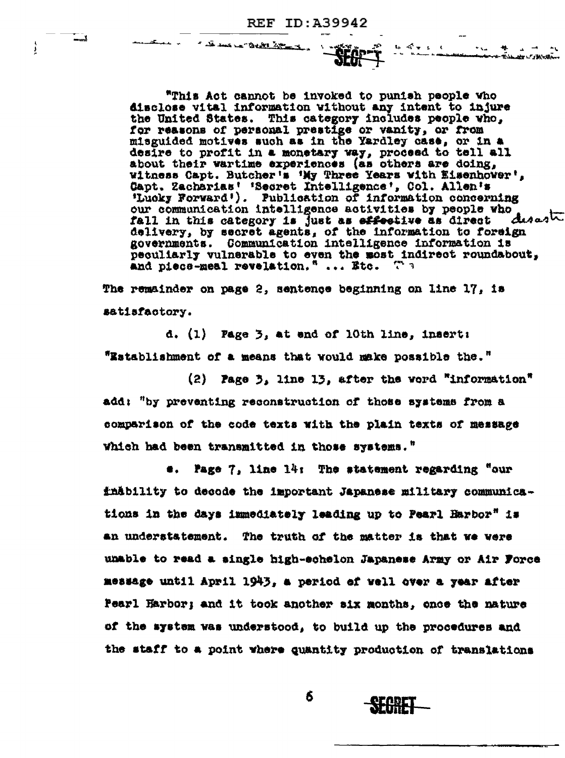A DO DON LA CARRA AND TO

یے۔

ļ

"This Act cannot be invoked to punish people who disclose vital information without any intent to injure the United States. This category includes people who, for reasons of personal prestige or vanity, or from misguided motives such as in the Yardley case, or in a desire to profit in a monetary way, proceed to tell all about their wartime experiences (as others are doing. witness Capt. Butcher's 'My Three Years with Eisenhower', Capt. Zacharias' 'Secret Intelligence', Col. Allen's 'Lucky Forward'). Publication of information concerning our communication intelligence activities by people who desaste fall in this category is just as effective as direct due.<br>delivery, by secret agents, of the information to foreign governments. Communication intelligence information is peculiarly vulnerable to even the most indirect roundabout, and piece-meal revelation." ... Etc.  $\mathbb{R}^n$  3

しゅうしゃ

.<br>ماکستان استان استان

The remainder on page 2, sentence beginning on line 17, is satisfactory.

d.  $(1)$  Page  $3$ , at and of 10th line, insert: "Establishment of a means that would make possible the."

(2) Page 3, line 13, after the word "information" add: "by preventing reconstruction of those systems from a comparison of the code texts with the plain texts of message Which had been transmitted in those systems."

e. Page 7, line 14: The statement regarding "our finability to decode the important Japanese military communications in the days immediately leading up to Pearl Harbor" is an understatement. The truth of the matter is that we were unable to read a single high-echelon Japanese Army or Air Force message until April 1943, a period of well over a year after Pearl Harbor; and it took another six months, once the nature of the system was understood, to build up the procedures and the staff to a point where quantity production of translations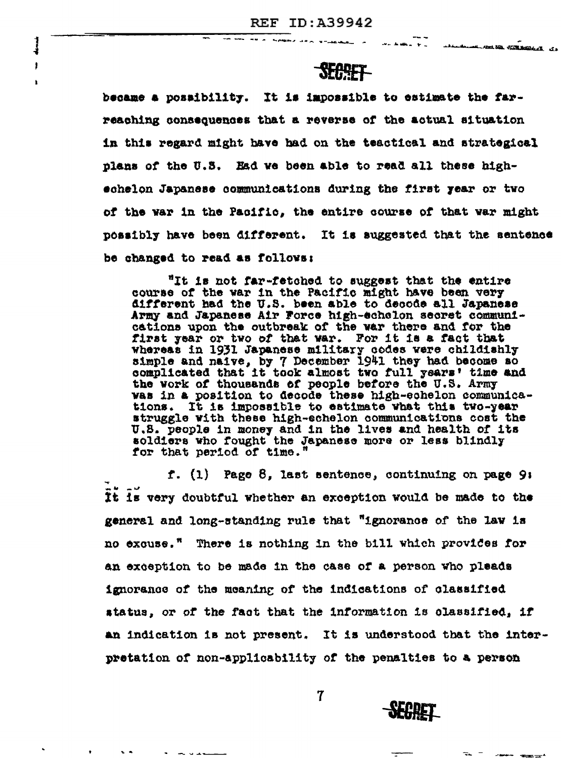$\frac{1}{4}$ 

J

 $\bullet$ 

LAGAL ARA TTARALL A

# **SEGGET**

AND NO RESERVANCE AT

became a possibility. It is impossible to estimate the farreaching consequences that a reverse of the actual situation in this regard might have had on the teactical and strategical plans of the U.S. Had we been able to read all these highschelon Japanese communications during the first year or two of the war in the Pacific, the entire course of that war might possibly have been different. It is suggested that the sentence be changed to read as follows:

"It is not far-fetched to suggest that the entire course of the war in the Pacific might have been very different had the U.S. been able to decode all Japanese Army and Japanese Air Force high-echelon secret communications upon the outbreak of the war there and for the first year or two of that war. For it is a fact that Whereas in 1931 Japanese military codes were childishly simple and naive, by 7 December 1941 they had become so complicated that it took almost two full years' time and the work of thousands of people before the U.S. Army was in a position to decode these high-echelon communications. It is impossible to estimate what this two-year struggle with these high-echelon communications cost the U.S. people in money and in the lives and health of its soldiers who fought the Japanese more or less blindly for that period of time.

f. (1) Page 8, last sentence, continuing on page 9: It is very doubtful whether an exception would be made to the general and long-standing rule that "ignorance of the law is no excuse." There is nothing in the bill which provides for an exception to be made in the case of a person who pleads ignorance of the meaning of the indications of classified status, or of the fact that the information is classified, if an indication is not present. It is understood that the interpretation of non-applicability of the penalties to a person

**SEGRET** 

 $\mathbf 7$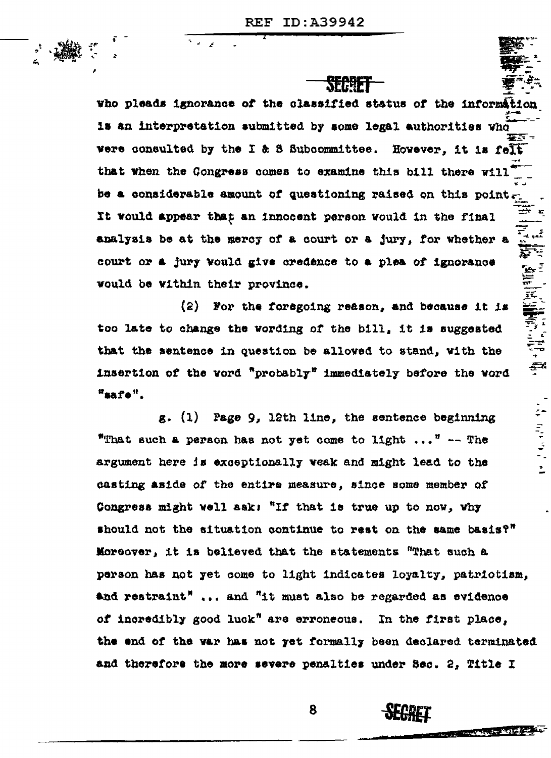**SFREET** 

who pleads ignorance of the classified status of the information is an interpretation submitted by some legal authorities who were consulted by the I & S Subcommittee. However. it is felt that when the Congress comes to examine this bill there will be a considerable amount of questioning raised on this point. It would appear that an innocent person would in the final analysis be at the mercy of a court or a jury, for whether a court or a jury would give credence to a plea of ignorance would be within their province.

(2) For the foregoing reason, and because it is too late to change the wording of the bill, it is suggested that the sentence in question be alloved to stand, with the insertion of the word "probably" immediately before the word "safe".

计可变变  $g.$  (1) Page 9, 12th line, the sentence beginning "That such a person has not yet come to light ..." -- The argument here is exceptionally weak and might lead to the casting aside of the entire measure, since some member of Congress might well ask: "If that is true up to now, why should not the situation continue to rest on the same basis?" Moreover, it is believed that the statements "That such a person has not yet come to light indicates loyalty, patrictism. and restraint" ... and "it must also be regarded as evidence of incredibly good luck" are erroneous. In the first place, the end of the war has not yet formally been declared terminated and therefore the more severe penalties under Sec. 2, Title I



**REAL PROPERTY**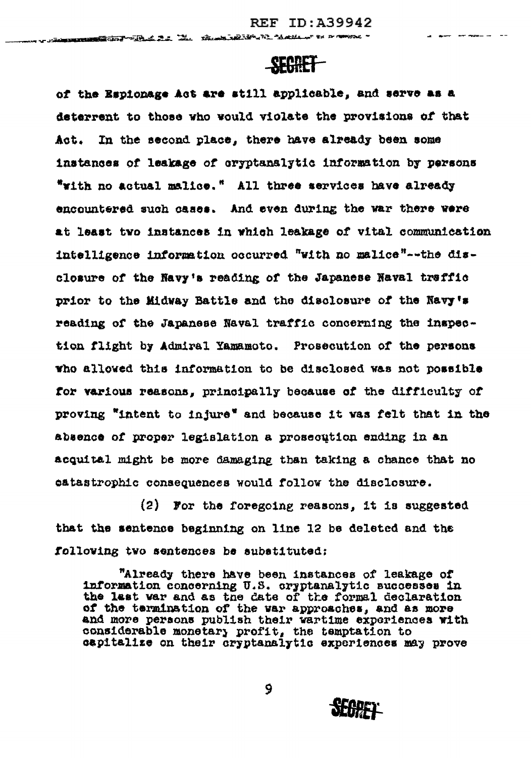$\frac{1}{2}$  and  $\frac{1}{2}$  are expansion of

### **SEGRET**

**DESCRIPTION** TO THE STATE THE TREATMENT OF THE CONTRACT OF THE CONTRACT "

of the Espionage Act are still applicable, and serve as a deterrent to those who would violate the provisions of that In the second place, there have already been some Act. instances of leakage of cryptanalytic information by persons "with no actual malice." All three services have already encountered such cases. And even during the war there were at least two instances in which leakage of vital communication intelligence information occurred "with no malice"--the disclosure of the Navy's reading of the Japanese Naval traffic prior to the Midway Battle and the disclosure of the Navy's reading of the Japanese Naval traffic concerning the inspection flight by Admiral Yamamoto. Prosecution of the persons who allowed this information to be disclosed was not possible for various reasons, principally because of the difficulty of proving "intent to injure" and because it was felt that in the absence of proper legislation a prosecution ending in an acquital might be more damaging than taking a chance that no catastrophic consequences would follow the disclosure.

(2) For the foregoing reasons, it is suggested that the sentence beginning on line 12 be deleted and the following two sentences be substituted:

"Already there have been instances of leakage of information concerning U.S. cryptanalytic successes in the last war and as the date of the formal declaration of the termination of the war approaches, and as more and more persons publish their wartime experiences with considerable monetary profit, the temptation to<br>capitalize on their cryptanalytic experiences may prove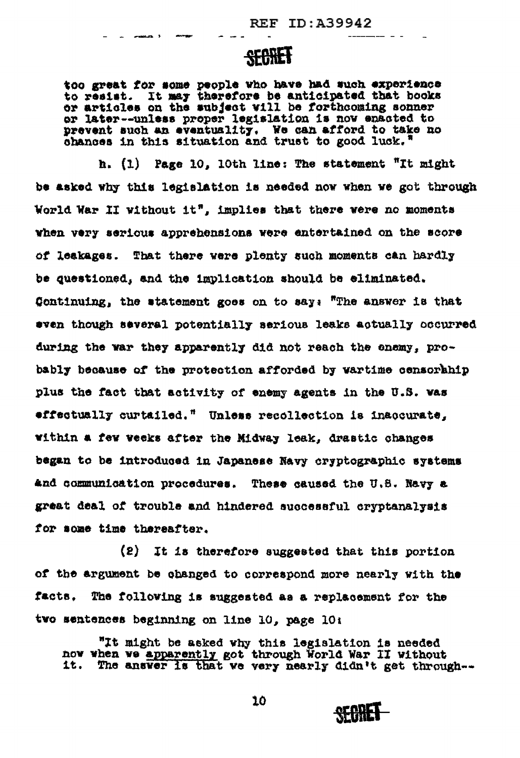## **SEGRET**

too great for some people who have had such experience to resist. It may therefore be anticipated that books or articles on the subject will be forthcoming sonner or later--unless proper legislation is now enacted to prevent such an eventuality. We can afford to take no chances in this situation and trust to good luck."

h. (1) Page 10, 10th line: The statement "It might be asked why this legislation is needed now when we got through World War II without it", implies that there were no moments when very serious apprehensions were entertained on the score of leakages. That there were plenty such moments can hardly be questioned, and the implication should be eliminated. Continuing, the statement goes on to say: "The answer is that even though several potentially serious leaks actually occurred during the war they apparently did not reach the enemy, probably because of the protection afforded by wartime censorahip plus the fact that activity of enemy agents in the U.S. was effectually curtailed." Unless recollection is inaccurate, within a few weeks after the Midway leak, drastic changes began to be introduced in Japanese Navy cryptographic systems and communication procedures. These caused the U.S. Navy a great deal of trouble and hindered successful cryptanalysis for some time thereafter.

(2) It is therefore suggested that this portion of the argument be obanged to correspond more nearly with the The following is suggested as a replacement for the facts. two sentences beginning on line 10, page 10:

"It might be asked why this legislation is needed now when we apparently got through World War II without it. The answer is that we very nearly didn't get through--

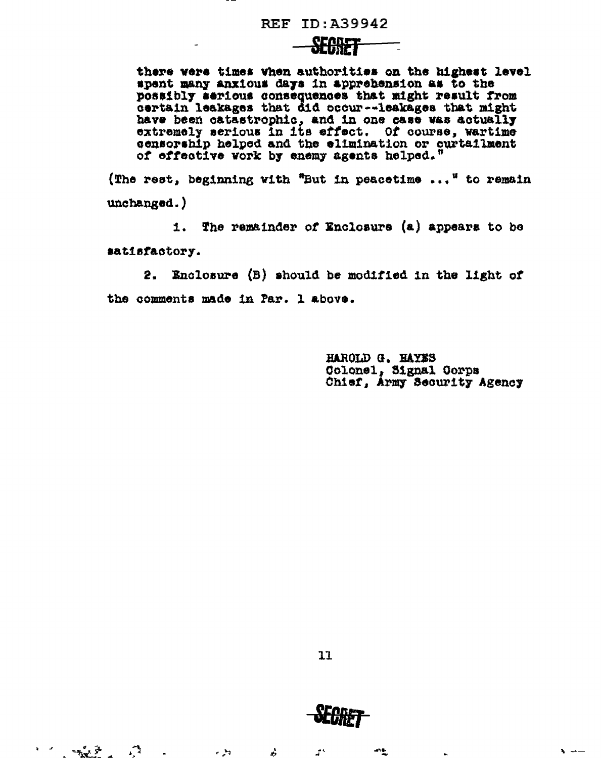#### **REF ID: A39942**

<del>SEASET - - -</del>

there were times when authorities on the highest level spent many anxious days in apprehension as to the possibly serious consequences that might result from<br>certain leakages that did occur--leakages that might have been catastrophic, and in one case was actually extremely serious in its effect. Of course, wartime censorship helped and the elimination or curtailment of effective work by enemy agents helped."

(The rest, beginning with "But in peacetime ..." to remain  $unchanged.$ )

1. The remainder of Enclosure (a) appears to be satisfactory.

Enclosure (B) should be modified in the light of  $2.$ the comments made in Par. 1 above.

> HAROLD G. HAYES Colonel, Signal Corps Chief, Army Security Agency



a.

 $\mathbf{z}^{\mathbf{y}}$ 

وفي ب

 $\mathbb{R}^2$ 

 $\mathbf{k} = \left\langle \mathbf{r}^{\mathrm{H}} \right\rangle$ 

**SEGRET** 

动业

 $\ddot{\bullet}$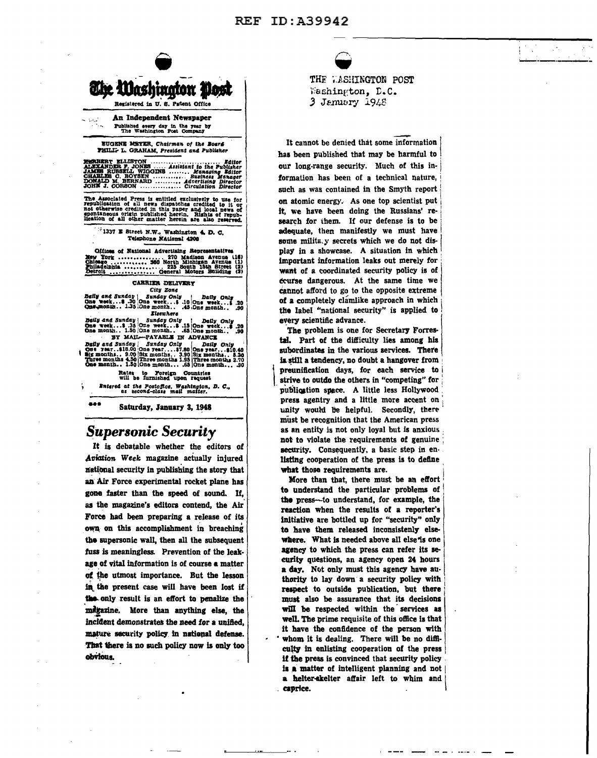

An Independent Newspaper Published every day in the year by<br>The Washington Post Company

EUGENE MEYER, Chairman of the Board PHILL- L. GRAHAM, President and Publisher

The Associated Press is entitled exclusively to use for republication of all news dispatches credited to it or not otherwise credited in this paper and local news of spontaneous origin published herein. Rights of republica

 $\frac{1}{2}$ 1337 E Street N.W., Washington 4, D.C. Telephone NAtional 4208

Offices of National Advertising Representatives 

#### CARRIER DELIVERY City Zone

Delly and Sunday | Sunday Only 1 Daily Only<br>
One week...\$ .30 One week...\$ .10 One week...\$ .20<br>
Qns.wonth.. 1.35 One month.. .45 One month.. .90 Elsewhere

Delly and Sunday | Sunday Only | Delly Only 3. 35 One week...\$ .20 One week...\$ .20 One week...\$ .20 One week...\$ .20 One month... .59 One month... .59 One month... .39

Rates to Foreign Countries<br>will be furnished upon request

Entered at the Postofice, Washington, D. C.,<br>as zecond-class mail matter.

Saturday, January 3, 1948

### **Supersonic Security**

535

It is debatable whether the editors of Aviation Week magazine actually injured national security in publishing the story that an Air Force experimental rocket plane has gone faster than the speed of sound. If, as the magazine's editors contend, the Air Force had been preparing a release of its own on this accomplishment in breaching the supersonic wall, then all the subsequent fuss is meaningless. Prevention of the leakage of vital information is of course a matter of the utmost importance. But the lesson in the present case will have been lost if the only result is an effort to penalize the migazine. More than anything else, the incident demonstrates the need for a unified. mature security policy in national defense. That there is no such policy now is only too obvious.

THE WASHINGTON POST

Washington, D.C. 3 January 1948

It cannot be denied that some information has been published that may be harmful to our long-range security. Much of this information has been of a technical nature, such as was contained in the Smyth report on atomic energy. As one top scientist put it, we have been doing the Russians' research for them. If our defense is to be adequate, then manifestly we must have some milita.y secrets which we do not display in a showcase. A situation in which important information leaks out merely for want of a coordinated security policy is of course dangerous. At the same time we cannot afford to go to the opposite extreme of a completely clamlike approach in which the label "national security" is applied to every scientific advance.

The problem is one for Secretary Forrestal. Part of the difficulty lies among his subordinates in the various services. There is still a tendency, no doubt a hangover from preunification days, for each service to strive to outdo the others in "competing" for publication space. A little less Hollywood press agentry and a little more accent on unity would be helpful. Secondly, there must be recognition that the American press as an entity is not only loyal but is anxious not to violate the requirements of genuine security. Consequently, a basic step in enlisting cooperation of the press is to define what those requirements are.

More than that, there must be an effort to understand the particular problems of the press-to understand, for example, the reaction when the results of a reporter's initiative are bottled up for "security" only to have them released inconsistenly elsewhere. What is needed above all else is one agency to which the press can refer its security questions, an agency open 24 hours a day. Not only must this agency have authority to lay down a security policy with respect to outside publication, but there must also be assurance that its decisions will be respected within the services as well. The prime requisite of this office is that it have the confidence of the person with whom it is dealing. There will be no difficulty in enlisting cooperation of the press if the press is convinced that security policy is a matter of intelligent planning and not a helter-skelter affair left to whim and caprice.